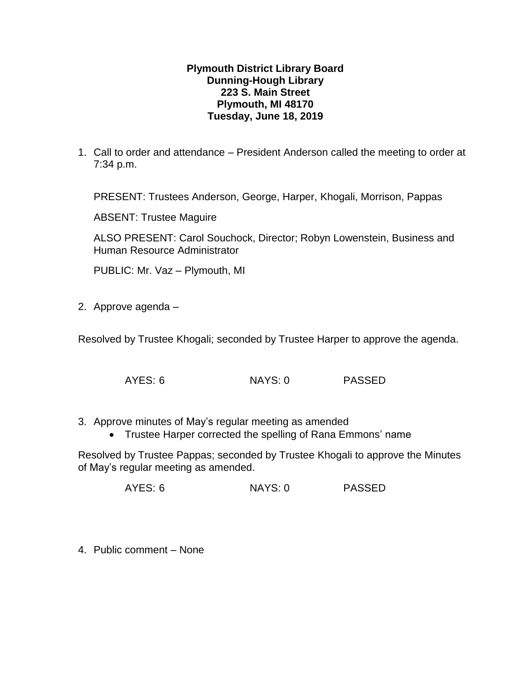## **Plymouth District Library Board Dunning-Hough Library 223 S. Main Street Plymouth, MI 48170 Tuesday, June 18, 2019**

1. Call to order and attendance – President Anderson called the meeting to order at 7:34 p.m.

PRESENT: Trustees Anderson, George, Harper, Khogali, Morrison, Pappas

ABSENT: Trustee Maguire

ALSO PRESENT: Carol Souchock, Director; Robyn Lowenstein, Business and Human Resource Administrator

PUBLIC: Mr. Vaz – Plymouth, MI

2. Approve agenda –

Resolved by Trustee Khogali; seconded by Trustee Harper to approve the agenda.

- AYES: 6 NAYS: 0 PASSED
- 3. Approve minutes of May's regular meeting as amended
	- Trustee Harper corrected the spelling of Rana Emmons' name

Resolved by Trustee Pappas; seconded by Trustee Khogali to approve the Minutes of May's regular meeting as amended.

AYES: 6 NAYS: 0 PASSED

4. Public comment – None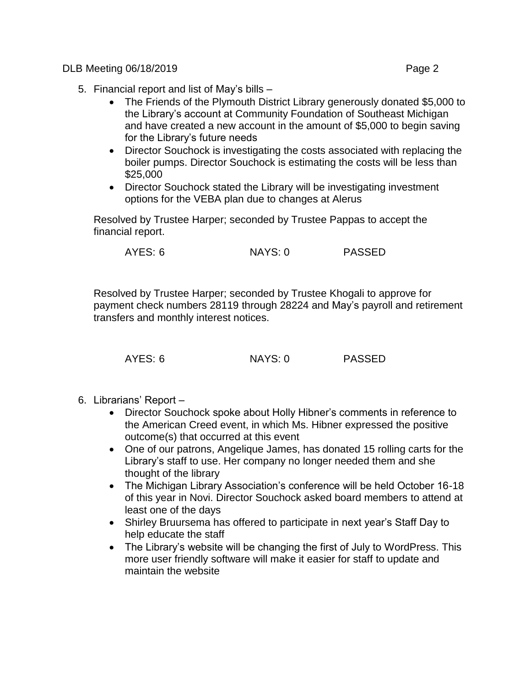DLB Meeting 06/18/2019 **Page 2** 

- 5. Financial report and list of May's bills
	- The Friends of the Plymouth District Library generously donated \$5,000 to the Library's account at Community Foundation of Southeast Michigan and have created a new account in the amount of \$5,000 to begin saving for the Library's future needs
	- Director Souchock is investigating the costs associated with replacing the boiler pumps. Director Souchock is estimating the costs will be less than \$25,000
	- Director Souchock stated the Library will be investigating investment options for the VEBA plan due to changes at Alerus

Resolved by Trustee Harper; seconded by Trustee Pappas to accept the financial report.

AYES: 6 NAYS: 0 PASSED

Resolved by Trustee Harper; seconded by Trustee Khogali to approve for payment check numbers 28119 through 28224 and May's payroll and retirement transfers and monthly interest notices.

| AYES: 6 | NAYS: 0 | <b>PASSED</b> |
|---------|---------|---------------|
|         |         |               |

- 6. Librarians' Report
	- Director Souchock spoke about Holly Hibner's comments in reference to the American Creed event, in which Ms. Hibner expressed the positive outcome(s) that occurred at this event
	- One of our patrons, Angelique James, has donated 15 rolling carts for the Library's staff to use. Her company no longer needed them and she thought of the library
	- The Michigan Library Association's conference will be held October 16-18 of this year in Novi. Director Souchock asked board members to attend at least one of the days
	- Shirley Bruursema has offered to participate in next year's Staff Day to help educate the staff
	- The Library's website will be changing the first of July to WordPress. This more user friendly software will make it easier for staff to update and maintain the website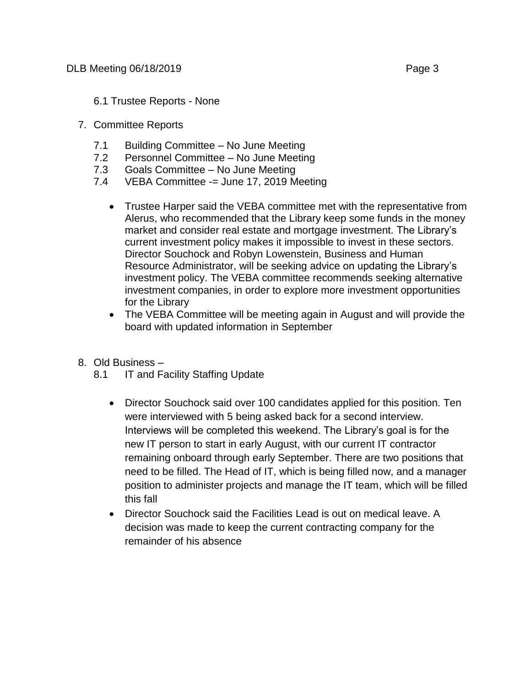## 7. Committee Reports

- 7.1 Building Committee No June Meeting
- 7.2 Personnel Committee No June Meeting
- 7.3 Goals Committee No June Meeting
- 7.4 VEBA Committee -= June 17, 2019 Meeting
	- Trustee Harper said the VEBA committee met with the representative from Alerus, who recommended that the Library keep some funds in the money market and consider real estate and mortgage investment. The Library's current investment policy makes it impossible to invest in these sectors. Director Souchock and Robyn Lowenstein, Business and Human Resource Administrator, will be seeking advice on updating the Library's investment policy. The VEBA committee recommends seeking alternative investment companies, in order to explore more investment opportunities for the Library
	- The VEBA Committee will be meeting again in August and will provide the board with updated information in September
- 8. Old Business
	- 8.1 IT and Facility Staffing Update
		- Director Souchock said over 100 candidates applied for this position. Ten were interviewed with 5 being asked back for a second interview. Interviews will be completed this weekend. The Library's goal is for the new IT person to start in early August, with our current IT contractor remaining onboard through early September. There are two positions that need to be filled. The Head of IT, which is being filled now, and a manager position to administer projects and manage the IT team, which will be filled this fall
		- Director Souchock said the Facilities Lead is out on medical leave. A decision was made to keep the current contracting company for the remainder of his absence